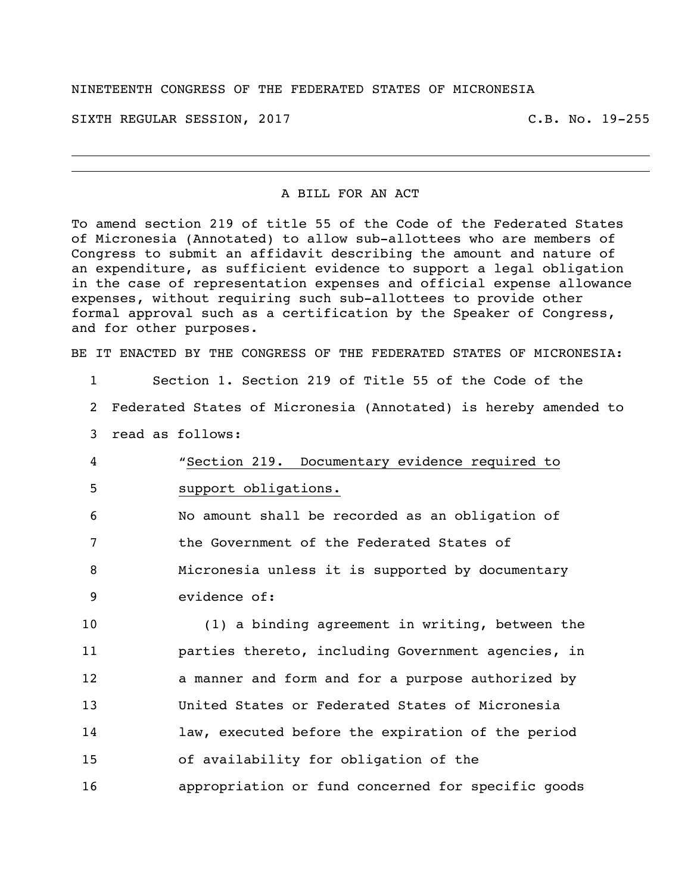## NINETEENTH CONGRESS OF THE FEDERATED STATES OF MICRONESIA

SIXTH REGULAR SESSION, 2017 C.B. No. 19-255

## A BILL FOR AN ACT

To amend section 219 of title 55 of the Code of the Federated States of Micronesia (Annotated) to allow sub-allottees who are members of Congress to submit an affidavit describing the amount and nature of an expenditure, as sufficient evidence to support a legal obligation in the case of representation expenses and official expense allowance expenses, without requiring such sub-allottees to provide other formal approval such as a certification by the Speaker of Congress, and for other purposes.

BE IT ENACTED BY THE CONGRESS OF THE FEDERATED STATES OF MICRONESIA:

| Section 1. Section 219 of Title 55 of the Code of the             |
|-------------------------------------------------------------------|
| 2 Federated States of Micronesia (Annotated) is hereby amended to |
|                                                                   |
|                                                                   |
|                                                                   |
|                                                                   |
|                                                                   |
|                                                                   |
|                                                                   |
| (1) a binding agreement in writing, between the                   |
| parties thereto, including Government agencies, in                |
| a manner and form and for a purpose authorized by                 |
|                                                                   |
|                                                                   |

14 law, executed before the expiration of the period

15 of availability for obligation of the

16 appropriation or fund concerned for specific goods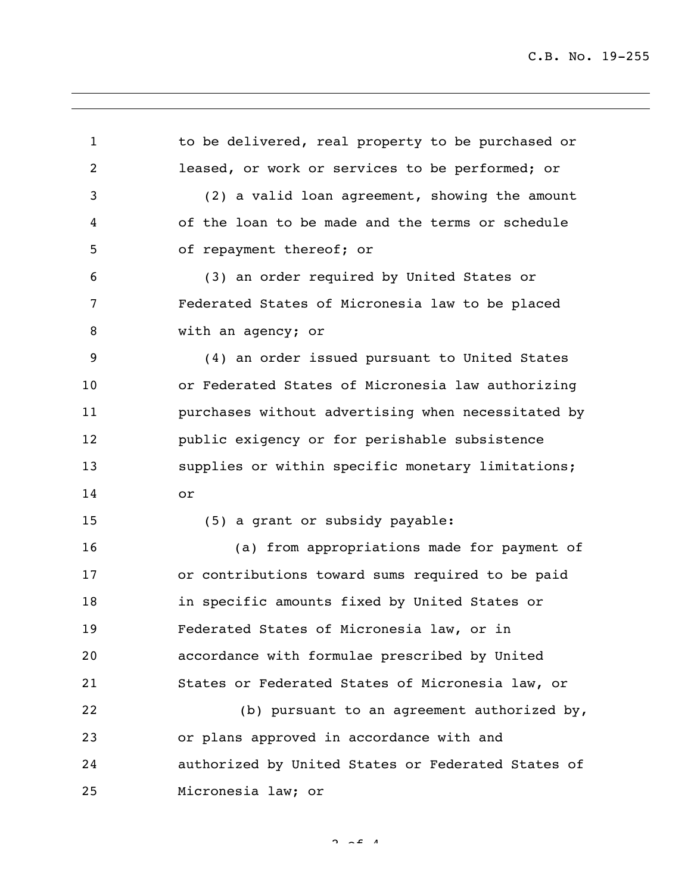1 to be delivered, real property to be purchased or leased, or work or services to be performed; or (2) a valid loan agreement, showing the amount of the loan to be made and the terms or schedule of repayment thereof; or (3) an order required by United States or Federated States of Micronesia law to be placed with an agency; or (4) an order issued pursuant to United States or Federated States of Micronesia law authorizing purchases without advertising when necessitated by public exigency or for perishable subsistence supplies or within specific monetary limitations; or (5) a grant or subsidy payable: (a) from appropriations made for payment of or contributions toward sums required to be paid in specific amounts fixed by United States or Federated States of Micronesia law, or in accordance with formulae prescribed by United States or Federated States of Micronesia law, or (b) pursuant to an agreement authorized by, or plans approved in accordance with and authorized by United States or Federated States of Micronesia law; or

 $2 \times 4$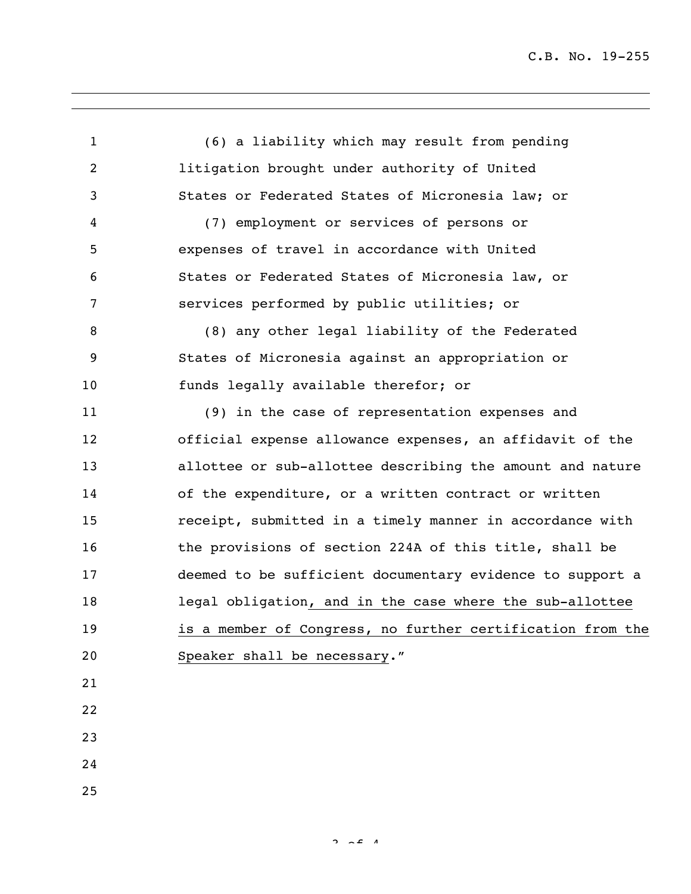C.B. No. 19-255

 (6) a liability which may result from pending litigation brought under authority of United States or Federated States of Micronesia law; or (7) employment or services of persons or expenses of travel in accordance with United States or Federated States of Micronesia law, or services performed by public utilities; or (8) any other legal liability of the Federated States of Micronesia against an appropriation or funds legally available therefor; or (9) in the case of representation expenses and official expense allowance expenses, an affidavit of the allottee or sub-allottee describing the amount and nature of the expenditure, or a written contract or written receipt, submitted in a timely manner in accordance with 16 the provisions of section 224A of this title, shall be deemed to be sufficient documentary evidence to support a legal obligation, and in the case where the sub-allottee is a member of Congress, no further certification from the Speaker shall be necessary."